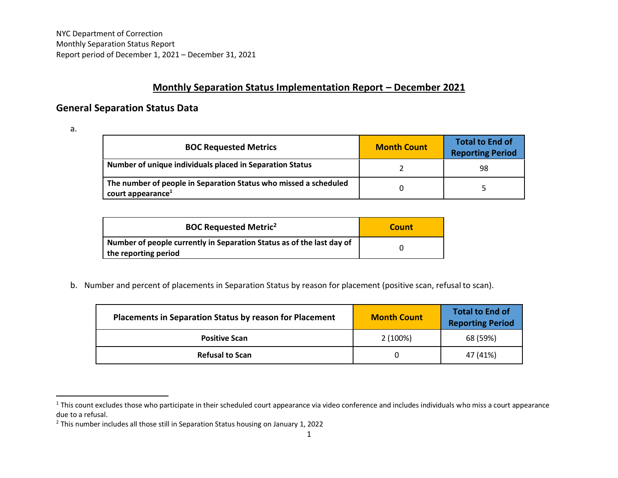## **Monthly Separation Status Implementation Report – December 2021**

## **General Separation Status Data**

a.

 $\overline{a}$ 

| <b>BOC Requested Metrics</b>                                                                      | <b>Month Count</b> | <b>Total to End of</b><br><b>Reporting Period</b> |
|---------------------------------------------------------------------------------------------------|--------------------|---------------------------------------------------|
| Number of unique individuals placed in Separation Status                                          |                    | 98                                                |
| The number of people in Separation Status who missed a scheduled<br>court appearance <sup>1</sup> |                    |                                                   |

| <b>BOC Requested Metric<sup>2</sup></b>                                                       | Count |
|-----------------------------------------------------------------------------------------------|-------|
| Number of people currently in Separation Status as of the last day of<br>the reporting period |       |

b. Number and percent of placements in Separation Status by reason for placement (positive scan, refusal to scan).

| <b>Placements in Separation Status by reason for Placement</b> | <b>Month Count</b> | <b>Total to End of</b><br><b>Reporting Period</b> |
|----------------------------------------------------------------|--------------------|---------------------------------------------------|
| <b>Positive Scan</b>                                           | 2(100%)            | 68 (59%)                                          |
| <b>Refusal to Scan</b>                                         |                    | 47 (41%)                                          |

<sup>&</sup>lt;sup>1</sup> This count excludes those who participate in their scheduled court appearance via video conference and includes individuals who miss a court appearance due to a refusal.

<sup>&</sup>lt;sup>2</sup> This number includes all those still in Separation Status housing on January 1, 2022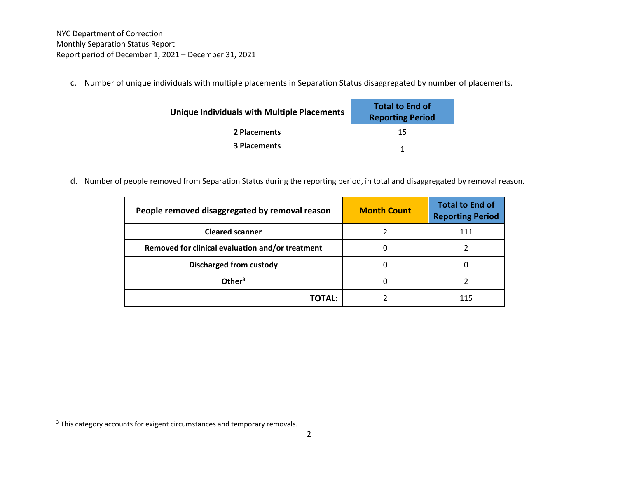c. Number of unique individuals with multiple placements in Separation Status disaggregated by number of placements.

| Unique Individuals with Multiple Placements | <b>Total to End of</b><br><b>Reporting Period</b> |
|---------------------------------------------|---------------------------------------------------|
| 2 Placements                                | 15                                                |
| <b>3 Placements</b>                         |                                                   |

d. Number of people removed from Separation Status during the reporting period, in total and disaggregated by removal reason.

| People removed disaggregated by removal reason   | <b>Month Count</b> | <b>Total to End of</b><br><b>Reporting Period</b> |
|--------------------------------------------------|--------------------|---------------------------------------------------|
| <b>Cleared scanner</b>                           |                    | 111                                               |
| Removed for clinical evaluation and/or treatment |                    |                                                   |
| <b>Discharged from custody</b>                   |                    |                                                   |
| Other <sup>3</sup>                               |                    |                                                   |
| TOTAL:                                           |                    |                                                   |

 $\overline{\phantom{a}}$ 

<sup>&</sup>lt;sup>3</sup> This category accounts for exigent circumstances and temporary removals.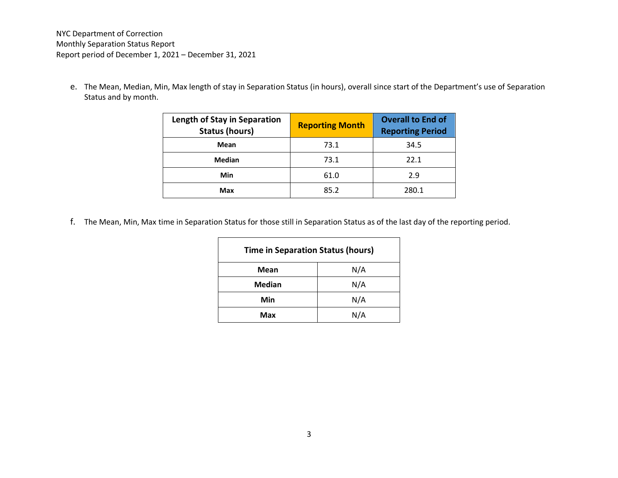e. The Mean, Median, Min, Max length of stay in Separation Status (in hours), overall since start of the Department's use of Separation Status and by month.

| Length of Stay in Separation<br><b>Status (hours)</b> | <b>Reporting Month</b> | <b>Overall to End of</b><br><b>Reporting Period</b> |
|-------------------------------------------------------|------------------------|-----------------------------------------------------|
| Mean                                                  | 73.1                   | 34.5                                                |
| Median                                                | 73.1                   | 22.1                                                |
| Min                                                   | 61.0                   | 2.9                                                 |
| Max                                                   | 85.2                   | 280.1                                               |

f. The Mean, Min, Max time in Separation Status for those still in Separation Status as of the last day of the reporting period.

| <b>Time in Separation Status (hours)</b> |     |  |
|------------------------------------------|-----|--|
| Mean                                     | N/A |  |
| <b>Median</b>                            | N/A |  |
| Min                                      | N/A |  |
| N/A<br>Max                               |     |  |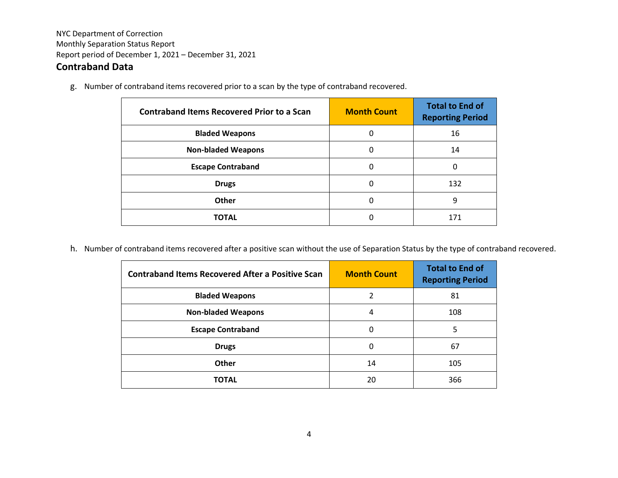## **Contraband Data**

g. Number of contraband items recovered prior to a scan by the type of contraband recovered.

| <b>Contraband Items Recovered Prior to a Scan</b> | <b>Month Count</b> | <b>Total to End of</b><br><b>Reporting Period</b> |
|---------------------------------------------------|--------------------|---------------------------------------------------|
| <b>Bladed Weapons</b>                             | 0                  | 16                                                |
| <b>Non-bladed Weapons</b>                         | 0                  | 14                                                |
| <b>Escape Contraband</b>                          | 0                  | 0                                                 |
| <b>Drugs</b>                                      | 0                  | 132                                               |
| <b>Other</b>                                      | 0                  | 9                                                 |
| TOTAL                                             |                    | 171                                               |

h. Number of contraband items recovered after a positive scan without the use of Separation Status by the type of contraband recovered.

| <b>Contraband Items Recovered After a Positive Scan</b> | <b>Month Count</b> | <b>Total to End of</b><br><b>Reporting Period</b> |
|---------------------------------------------------------|--------------------|---------------------------------------------------|
| <b>Bladed Weapons</b>                                   | 2                  | 81                                                |
| <b>Non-bladed Weapons</b>                               | 4                  | 108                                               |
| <b>Escape Contraband</b>                                | 0                  | 5                                                 |
| <b>Drugs</b>                                            | 0                  | 67                                                |
| Other                                                   | 14                 | 105                                               |
| <b>TOTAL</b>                                            | 20                 | 366                                               |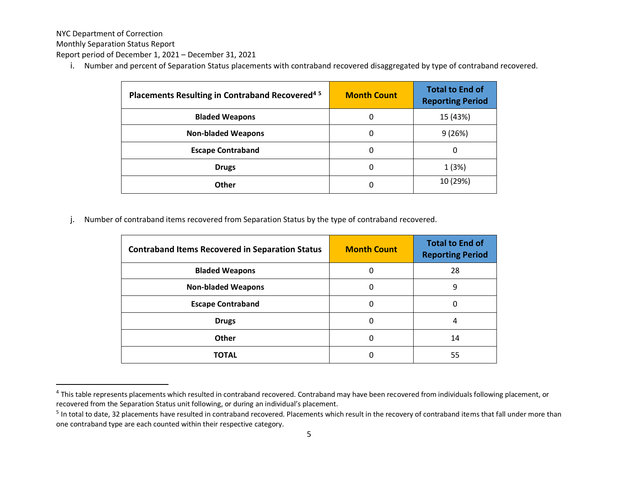NYC Department of Correction

 $\overline{a}$ 

Monthly Separation Status Report

Report period of December 1, 2021 – December 31, 2021

i. Number and percent of Separation Status placements with contraband recovered disaggregated by type of contraband recovered.

| Placements Resulting in Contraband Recovered <sup>45</sup> | <b>Month Count</b> | <b>Total to End of</b><br><b>Reporting Period</b> |
|------------------------------------------------------------|--------------------|---------------------------------------------------|
| <b>Bladed Weapons</b>                                      | 0                  | 15 (43%)                                          |
| <b>Non-bladed Weapons</b>                                  | 0                  | 9(26%)                                            |
| <b>Escape Contraband</b>                                   | 0                  | 0                                                 |
| <b>Drugs</b>                                               | 0                  | 1(3%)                                             |
| Other                                                      | 0                  | 10 (29%)                                          |

j. Number of contraband items recovered from Separation Status by the type of contraband recovered.

| <b>Contraband Items Recovered in Separation Status</b> | <b>Month Count</b> | <b>Total to End of</b><br><b>Reporting Period</b> |
|--------------------------------------------------------|--------------------|---------------------------------------------------|
| <b>Bladed Weapons</b>                                  | 0                  | 28                                                |
| <b>Non-bladed Weapons</b>                              | 0                  | 9                                                 |
| <b>Escape Contraband</b>                               | 0                  | 0                                                 |
| <b>Drugs</b>                                           | 0                  | 4                                                 |
| Other                                                  | 0                  | 14                                                |
| <b>TOTAL</b>                                           |                    | 55                                                |

<sup>&</sup>lt;sup>4</sup> This table represents placements which resulted in contraband recovered. Contraband may have been recovered from individuals following placement, or recovered from the Separation Status unit following, or during an individual's placement.

<sup>&</sup>lt;sup>5</sup> In total to date, 32 placements have resulted in contraband recovered. Placements which result in the recovery of contraband items that fall under more than one contraband type are each counted within their respective category.